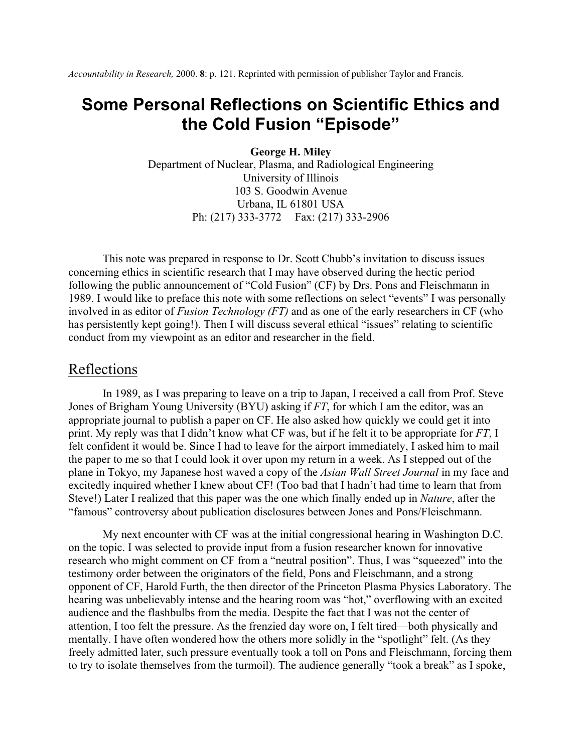*Accountability in Research,* 2000. **8**: p. 121. Reprinted with permission of publisher Taylor and Francis.

# **Some Personal Reflections on Scientific Ethics and the Cold Fusion "Episode"**

**George H. Miley** 

Department of Nuclear, Plasma, and Radiological Engineering University of Illinois 103 S. Goodwin Avenue Urbana, IL 61801 USA Ph: (217) 333-3772 Fax: (217) 333-2906

This note was prepared in response to Dr. Scott Chubb's invitation to discuss issues concerning ethics in scientific research that I may have observed during the hectic period following the public announcement of "Cold Fusion" (CF) by Drs. Pons and Fleischmann in 1989. I would like to preface this note with some reflections on select "events" I was personally involved in as editor of *Fusion Technology (FT)* and as one of the early researchers in CF (who has persistently kept going!). Then I will discuss several ethical "issues" relating to scientific conduct from my viewpoint as an editor and researcher in the field.

#### Reflections

In 1989, as I was preparing to leave on a trip to Japan, I received a call from Prof. Steve Jones of Brigham Young University (BYU) asking if *FT*, for which I am the editor, was an appropriate journal to publish a paper on CF. He also asked how quickly we could get it into print. My reply was that I didn't know what CF was, but if he felt it to be appropriate for *FT*, I felt confident it would be. Since I had to leave for the airport immediately, I asked him to mail the paper to me so that I could look it over upon my return in a week. As I stepped out of the plane in Tokyo, my Japanese host waved a copy of the *Asian Wall Street Journal* in my face and excitedly inquired whether I knew about CF! (Too bad that I hadn't had time to learn that from Steve!) Later I realized that this paper was the one which finally ended up in *Nature*, after the "famous" controversy about publication disclosures between Jones and Pons/Fleischmann.

My next encounter with CF was at the initial congressional hearing in Washington D.C. on the topic. I was selected to provide input from a fusion researcher known for innovative research who might comment on CF from a "neutral position". Thus, I was "squeezed" into the testimony order between the originators of the field, Pons and Fleischmann, and a strong opponent of CF, Harold Furth, the then director of the Princeton Plasma Physics Laboratory. The hearing was unbelievably intense and the hearing room was "hot," overflowing with an excited audience and the flashbulbs from the media. Despite the fact that I was not the center of attention, I too felt the pressure. As the frenzied day wore on, I felt tired—both physically and mentally. I have often wondered how the others more solidly in the "spotlight" felt. (As they freely admitted later, such pressure eventually took a toll on Pons and Fleischmann, forcing them to try to isolate themselves from the turmoil). The audience generally "took a break" as I spoke,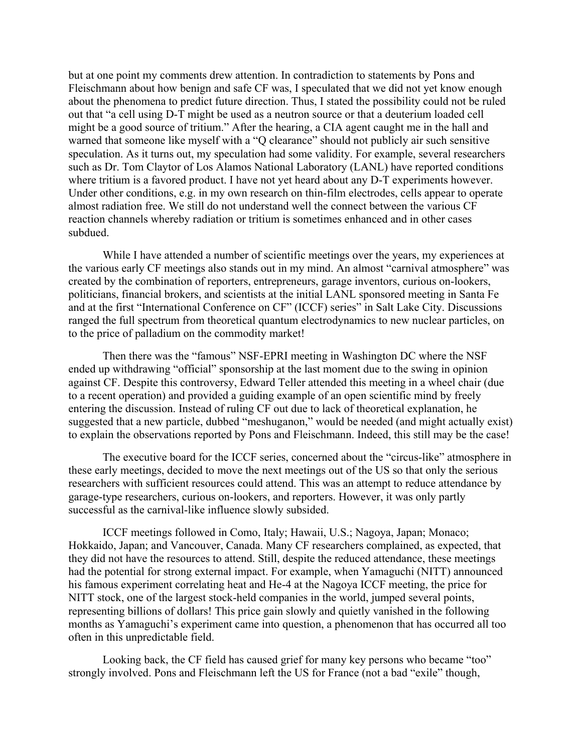but at one point my comments drew attention. In contradiction to statements by Pons and Fleischmann about how benign and safe CF was, I speculated that we did not yet know enough about the phenomena to predict future direction. Thus, I stated the possibility could not be ruled out that "a cell using D-T might be used as a neutron source or that a deuterium loaded cell might be a good source of tritium." After the hearing, a CIA agent caught me in the hall and warned that someone like myself with a "Q clearance" should not publicly air such sensitive speculation. As it turns out, my speculation had some validity. For example, several researchers such as Dr. Tom Claytor of Los Alamos National Laboratory (LANL) have reported conditions where tritium is a favored product. I have not yet heard about any D-T experiments however. Under other conditions, e.g. in my own research on thin-film electrodes, cells appear to operate almost radiation free. We still do not understand well the connect between the various CF reaction channels whereby radiation or tritium is sometimes enhanced and in other cases subdued.

While I have attended a number of scientific meetings over the years, my experiences at the various early CF meetings also stands out in my mind. An almost "carnival atmosphere" was created by the combination of reporters, entrepreneurs, garage inventors, curious on-lookers, politicians, financial brokers, and scientists at the initial LANL sponsored meeting in Santa Fe and at the first "International Conference on CF" (ICCF) series" in Salt Lake City. Discussions ranged the full spectrum from theoretical quantum electrodynamics to new nuclear particles, on to the price of palladium on the commodity market!

Then there was the "famous" NSF-EPRI meeting in Washington DC where the NSF ended up withdrawing "official" sponsorship at the last moment due to the swing in opinion against CF. Despite this controversy, Edward Teller attended this meeting in a wheel chair (due to a recent operation) and provided a guiding example of an open scientific mind by freely entering the discussion. Instead of ruling CF out due to lack of theoretical explanation, he suggested that a new particle, dubbed "meshuganon," would be needed (and might actually exist) to explain the observations reported by Pons and Fleischmann. Indeed, this still may be the case!

The executive board for the ICCF series, concerned about the "circus-like" atmosphere in these early meetings, decided to move the next meetings out of the US so that only the serious researchers with sufficient resources could attend. This was an attempt to reduce attendance by garage-type researchers, curious on-lookers, and reporters. However, it was only partly successful as the carnival-like influence slowly subsided.

ICCF meetings followed in Como, Italy; Hawaii, U.S.; Nagoya, Japan; Monaco; Hokkaido, Japan; and Vancouver, Canada. Many CF researchers complained, as expected, that they did not have the resources to attend. Still, despite the reduced attendance, these meetings had the potential for strong external impact. For example, when Yamaguchi (NITT) announced his famous experiment correlating heat and He-4 at the Nagoya ICCF meeting, the price for NITT stock, one of the largest stock-held companies in the world, jumped several points, representing billions of dollars! This price gain slowly and quietly vanished in the following months as Yamaguchi's experiment came into question, a phenomenon that has occurred all too often in this unpredictable field.

Looking back, the CF field has caused grief for many key persons who became "too" strongly involved. Pons and Fleischmann left the US for France (not a bad "exile" though,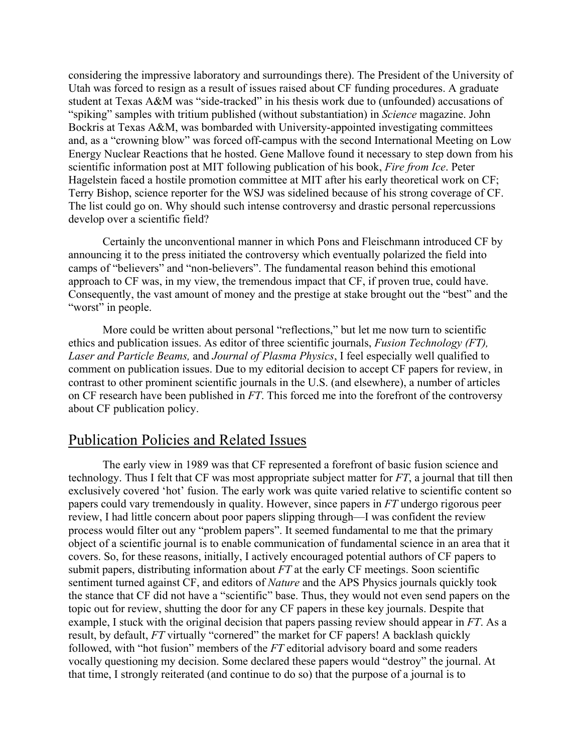considering the impressive laboratory and surroundings there). The President of the University of Utah was forced to resign as a result of issues raised about CF funding procedures. A graduate student at Texas A&M was "side-tracked" in his thesis work due to (unfounded) accusations of "spiking" samples with tritium published (without substantiation) in *Science* magazine. John Bockris at Texas A&M, was bombarded with University-appointed investigating committees and, as a "crowning blow" was forced off-campus with the second International Meeting on Low Energy Nuclear Reactions that he hosted. Gene Mallove found it necessary to step down from his scientific information post at MIT following publication of his book, *Fire from Ice*. Peter Hagelstein faced a hostile promotion committee at MIT after his early theoretical work on CF; Terry Bishop, science reporter for the WSJ was sidelined because of his strong coverage of CF. The list could go on. Why should such intense controversy and drastic personal repercussions develop over a scientific field?

Certainly the unconventional manner in which Pons and Fleischmann introduced CF by announcing it to the press initiated the controversy which eventually polarized the field into camps of "believers" and "non-believers". The fundamental reason behind this emotional approach to CF was, in my view, the tremendous impact that CF, if proven true, could have. Consequently, the vast amount of money and the prestige at stake brought out the "best" and the "worst" in people.

More could be written about personal "reflections," but let me now turn to scientific ethics and publication issues. As editor of three scientific journals, *Fusion Technology (FT), Laser and Particle Beams,* and *Journal of Plasma Physics*, I feel especially well qualified to comment on publication issues. Due to my editorial decision to accept CF papers for review, in contrast to other prominent scientific journals in the U.S. (and elsewhere), a number of articles on CF research have been published in *FT*. This forced me into the forefront of the controversy about CF publication policy.

# Publication Policies and Related Issues

The early view in 1989 was that CF represented a forefront of basic fusion science and technology. Thus I felt that CF was most appropriate subject matter for *FT*, a journal that till then exclusively covered 'hot' fusion. The early work was quite varied relative to scientific content so papers could vary tremendously in quality. However, since papers in *FT* undergo rigorous peer review, I had little concern about poor papers slipping through—I was confident the review process would filter out any "problem papers". It seemed fundamental to me that the primary object of a scientific journal is to enable communication of fundamental science in an area that it covers. So, for these reasons, initially, I actively encouraged potential authors of CF papers to submit papers, distributing information about *FT* at the early CF meetings. Soon scientific sentiment turned against CF, and editors of *Nature* and the APS Physics journals quickly took the stance that CF did not have a "scientific" base. Thus, they would not even send papers on the topic out for review, shutting the door for any CF papers in these key journals. Despite that example, I stuck with the original decision that papers passing review should appear in *FT*. As a result, by default, *FT* virtually "cornered" the market for CF papers! A backlash quickly followed, with "hot fusion" members of the *FT* editorial advisory board and some readers vocally questioning my decision. Some declared these papers would "destroy" the journal. At that time, I strongly reiterated (and continue to do so) that the purpose of a journal is to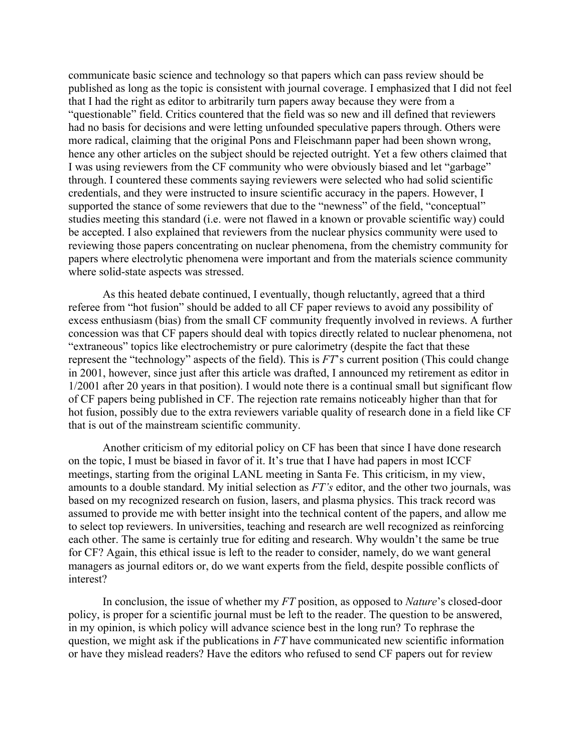communicate basic science and technology so that papers which can pass review should be published as long as the topic is consistent with journal coverage. I emphasized that I did not feel that I had the right as editor to arbitrarily turn papers away because they were from a "questionable" field. Critics countered that the field was so new and ill defined that reviewers had no basis for decisions and were letting unfounded speculative papers through. Others were more radical, claiming that the original Pons and Fleischmann paper had been shown wrong, hence any other articles on the subject should be rejected outright. Yet a few others claimed that I was using reviewers from the CF community who were obviously biased and let "garbage" through. I countered these comments saying reviewers were selected who had solid scientific credentials, and they were instructed to insure scientific accuracy in the papers. However, I supported the stance of some reviewers that due to the "newness" of the field, "conceptual" studies meeting this standard (i.e. were not flawed in a known or provable scientific way) could be accepted. I also explained that reviewers from the nuclear physics community were used to reviewing those papers concentrating on nuclear phenomena, from the chemistry community for papers where electrolytic phenomena were important and from the materials science community where solid-state aspects was stressed.

As this heated debate continued, I eventually, though reluctantly, agreed that a third referee from "hot fusion" should be added to all CF paper reviews to avoid any possibility of excess enthusiasm (bias) from the small CF community frequently involved in reviews. A further concession was that CF papers should deal with topics directly related to nuclear phenomena, not "extraneous" topics like electrochemistry or pure calorimetry (despite the fact that these represent the "technology" aspects of the field). This is *FT*'s current position (This could change in 2001, however, since just after this article was drafted, I announced my retirement as editor in 1/2001 after 20 years in that position). I would note there is a continual small but significant flow of CF papers being published in CF. The rejection rate remains noticeably higher than that for hot fusion, possibly due to the extra reviewers variable quality of research done in a field like CF that is out of the mainstream scientific community.

Another criticism of my editorial policy on CF has been that since I have done research on the topic, I must be biased in favor of it. It's true that I have had papers in most ICCF meetings, starting from the original LANL meeting in Santa Fe. This criticism, in my view, amounts to a double standard. My initial selection as *FT's* editor, and the other two journals, was based on my recognized research on fusion, lasers, and plasma physics. This track record was assumed to provide me with better insight into the technical content of the papers, and allow me to select top reviewers. In universities, teaching and research are well recognized as reinforcing each other. The same is certainly true for editing and research. Why wouldn't the same be true for CF? Again, this ethical issue is left to the reader to consider, namely, do we want general managers as journal editors or, do we want experts from the field, despite possible conflicts of interest?

In conclusion, the issue of whether my *FT* position, as opposed to *Nature*'s closed-door policy, is proper for a scientific journal must be left to the reader. The question to be answered, in my opinion, is which policy will advance science best in the long run? To rephrase the question, we might ask if the publications in *FT* have communicated new scientific information or have they mislead readers? Have the editors who refused to send CF papers out for review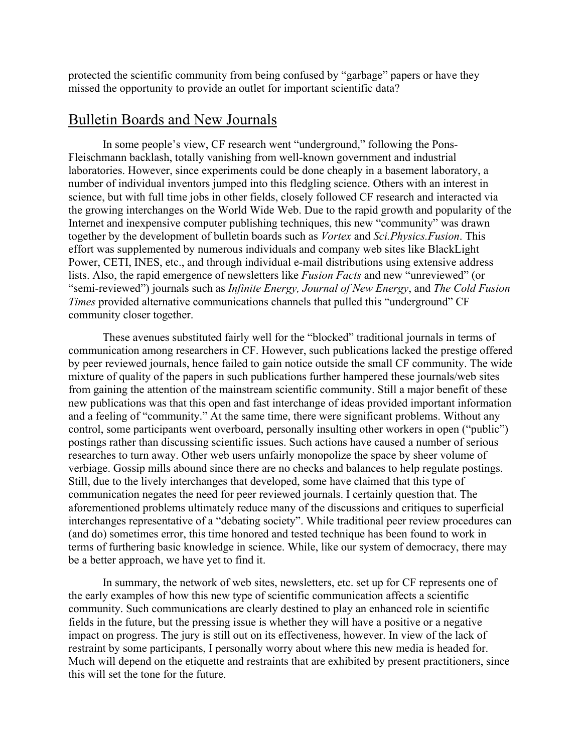protected the scientific community from being confused by "garbage" papers or have they missed the opportunity to provide an outlet for important scientific data?

## Bulletin Boards and New Journals

In some people's view, CF research went "underground," following the Pons-Fleischmann backlash, totally vanishing from well-known government and industrial laboratories. However, since experiments could be done cheaply in a basement laboratory, a number of individual inventors jumped into this fledgling science. Others with an interest in science, but with full time jobs in other fields, closely followed CF research and interacted via the growing interchanges on the World Wide Web. Due to the rapid growth and popularity of the Internet and inexpensive computer publishing techniques, this new "community" was drawn together by the development of bulletin boards such as *Vortex* and *Sci.Physics.Fusion*. This effort was supplemented by numerous individuals and company web sites like BlackLight Power, CETI, INES, etc., and through individual e-mail distributions using extensive address lists. Also, the rapid emergence of newsletters like *Fusion Facts* and new "unreviewed" (or "semi-reviewed") journals such as *Infinite Energy, Journal of New Energy*, and *The Cold Fusion Times* provided alternative communications channels that pulled this "underground" CF community closer together.

These avenues substituted fairly well for the "blocked" traditional journals in terms of communication among researchers in CF. However, such publications lacked the prestige offered by peer reviewed journals, hence failed to gain notice outside the small CF community. The wide mixture of quality of the papers in such publications further hampered these journals/web sites from gaining the attention of the mainstream scientific community. Still a major benefit of these new publications was that this open and fast interchange of ideas provided important information and a feeling of "community." At the same time, there were significant problems. Without any control, some participants went overboard, personally insulting other workers in open ("public") postings rather than discussing scientific issues. Such actions have caused a number of serious researches to turn away. Other web users unfairly monopolize the space by sheer volume of verbiage. Gossip mills abound since there are no checks and balances to help regulate postings. Still, due to the lively interchanges that developed, some have claimed that this type of communication negates the need for peer reviewed journals. I certainly question that. The aforementioned problems ultimately reduce many of the discussions and critiques to superficial interchanges representative of a "debating society". While traditional peer review procedures can (and do) sometimes error, this time honored and tested technique has been found to work in terms of furthering basic knowledge in science. While, like our system of democracy, there may be a better approach, we have yet to find it.

In summary, the network of web sites, newsletters, etc. set up for CF represents one of the early examples of how this new type of scientific communication affects a scientific community. Such communications are clearly destined to play an enhanced role in scientific fields in the future, but the pressing issue is whether they will have a positive or a negative impact on progress. The jury is still out on its effectiveness, however. In view of the lack of restraint by some participants, I personally worry about where this new media is headed for. Much will depend on the etiquette and restraints that are exhibited by present practitioners, since this will set the tone for the future.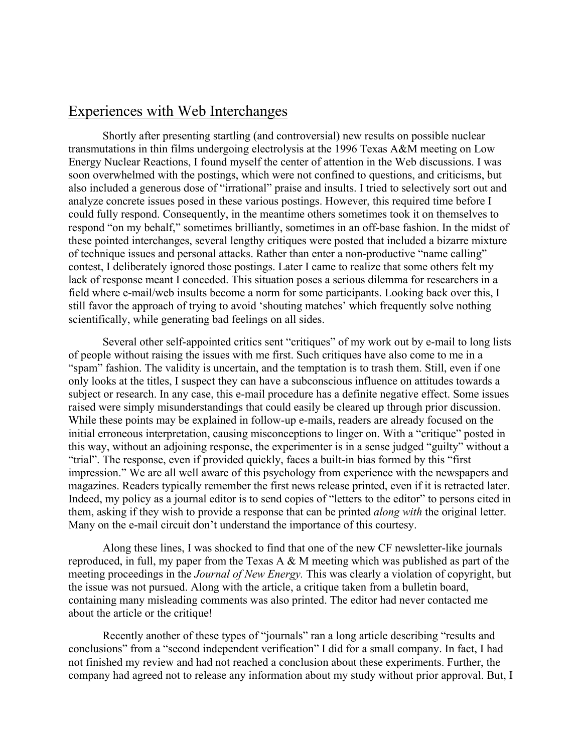## Experiences with Web Interchanges

Shortly after presenting startling (and controversial) new results on possible nuclear transmutations in thin films undergoing electrolysis at the 1996 Texas A&M meeting on Low Energy Nuclear Reactions, I found myself the center of attention in the Web discussions. I was soon overwhelmed with the postings, which were not confined to questions, and criticisms, but also included a generous dose of "irrational" praise and insults. I tried to selectively sort out and analyze concrete issues posed in these various postings. However, this required time before I could fully respond. Consequently, in the meantime others sometimes took it on themselves to respond "on my behalf," sometimes brilliantly, sometimes in an off-base fashion. In the midst of these pointed interchanges, several lengthy critiques were posted that included a bizarre mixture of technique issues and personal attacks. Rather than enter a non-productive "name calling" contest, I deliberately ignored those postings. Later I came to realize that some others felt my lack of response meant I conceded. This situation poses a serious dilemma for researchers in a field where e-mail/web insults become a norm for some participants. Looking back over this, I still favor the approach of trying to avoid 'shouting matches' which frequently solve nothing scientifically, while generating bad feelings on all sides.

Several other self-appointed critics sent "critiques" of my work out by e-mail to long lists of people without raising the issues with me first. Such critiques have also come to me in a "spam" fashion. The validity is uncertain, and the temptation is to trash them. Still, even if one only looks at the titles, I suspect they can have a subconscious influence on attitudes towards a subject or research. In any case, this e-mail procedure has a definite negative effect. Some issues raised were simply misunderstandings that could easily be cleared up through prior discussion. While these points may be explained in follow-up e-mails, readers are already focused on the initial erroneous interpretation, causing misconceptions to linger on. With a "critique" posted in this way, without an adjoining response, the experimenter is in a sense judged "guilty" without a "trial". The response, even if provided quickly, faces a built-in bias formed by this "first impression." We are all well aware of this psychology from experience with the newspapers and magazines. Readers typically remember the first news release printed, even if it is retracted later. Indeed, my policy as a journal editor is to send copies of "letters to the editor" to persons cited in them, asking if they wish to provide a response that can be printed *along with* the original letter. Many on the e-mail circuit don't understand the importance of this courtesy.

Along these lines, I was shocked to find that one of the new CF newsletter-like journals reproduced, in full, my paper from the Texas A & M meeting which was published as part of the meeting proceedings in the *Journal of New Energy.* This was clearly a violation of copyright, but the issue was not pursued. Along with the article, a critique taken from a bulletin board, containing many misleading comments was also printed. The editor had never contacted me about the article or the critique!

Recently another of these types of "journals" ran a long article describing "results and conclusions" from a "second independent verification" I did for a small company. In fact, I had not finished my review and had not reached a conclusion about these experiments. Further, the company had agreed not to release any information about my study without prior approval. But, I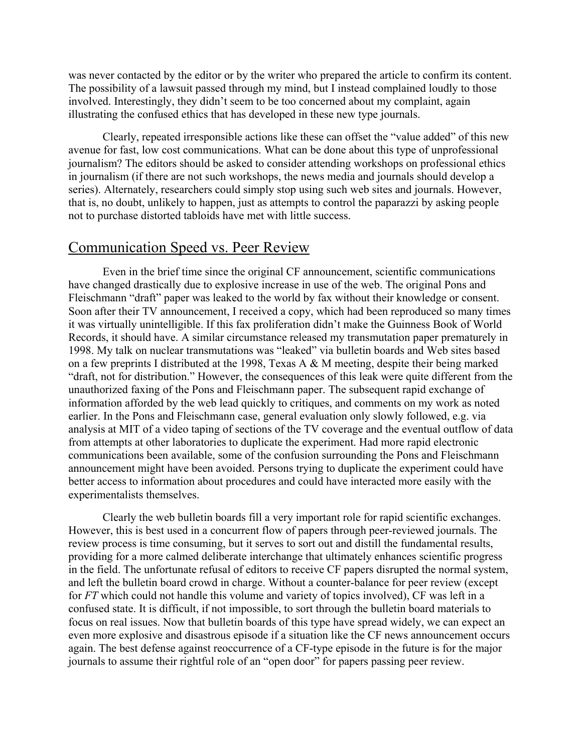was never contacted by the editor or by the writer who prepared the article to confirm its content. The possibility of a lawsuit passed through my mind, but I instead complained loudly to those involved. Interestingly, they didn't seem to be too concerned about my complaint, again illustrating the confused ethics that has developed in these new type journals.

Clearly, repeated irresponsible actions like these can offset the "value added" of this new avenue for fast, low cost communications. What can be done about this type of unprofessional journalism? The editors should be asked to consider attending workshops on professional ethics in journalism (if there are not such workshops, the news media and journals should develop a series). Alternately, researchers could simply stop using such web sites and journals. However, that is, no doubt, unlikely to happen, just as attempts to control the paparazzi by asking people not to purchase distorted tabloids have met with little success.

#### Communication Speed vs. Peer Review

Even in the brief time since the original CF announcement, scientific communications have changed drastically due to explosive increase in use of the web. The original Pons and Fleischmann "draft" paper was leaked to the world by fax without their knowledge or consent. Soon after their TV announcement, I received a copy, which had been reproduced so many times it was virtually unintelligible. If this fax proliferation didn't make the Guinness Book of World Records, it should have. A similar circumstance released my transmutation paper prematurely in 1998. My talk on nuclear transmutations was "leaked" via bulletin boards and Web sites based on a few preprints I distributed at the 1998, Texas A & M meeting, despite their being marked "draft, not for distribution." However, the consequences of this leak were quite different from the unauthorized faxing of the Pons and Fleischmann paper. The subsequent rapid exchange of information afforded by the web lead quickly to critiques, and comments on my work as noted earlier. In the Pons and Fleischmann case, general evaluation only slowly followed, e.g. via analysis at MIT of a video taping of sections of the TV coverage and the eventual outflow of data from attempts at other laboratories to duplicate the experiment. Had more rapid electronic communications been available, some of the confusion surrounding the Pons and Fleischmann announcement might have been avoided. Persons trying to duplicate the experiment could have better access to information about procedures and could have interacted more easily with the experimentalists themselves.

Clearly the web bulletin boards fill a very important role for rapid scientific exchanges. However, this is best used in a concurrent flow of papers through peer-reviewed journals. The review process is time consuming, but it serves to sort out and distill the fundamental results, providing for a more calmed deliberate interchange that ultimately enhances scientific progress in the field. The unfortunate refusal of editors to receive CF papers disrupted the normal system, and left the bulletin board crowd in charge. Without a counter-balance for peer review (except for *FT* which could not handle this volume and variety of topics involved), CF was left in a confused state. It is difficult, if not impossible, to sort through the bulletin board materials to focus on real issues. Now that bulletin boards of this type have spread widely, we can expect an even more explosive and disastrous episode if a situation like the CF news announcement occurs again. The best defense against reoccurrence of a CF-type episode in the future is for the major journals to assume their rightful role of an "open door" for papers passing peer review.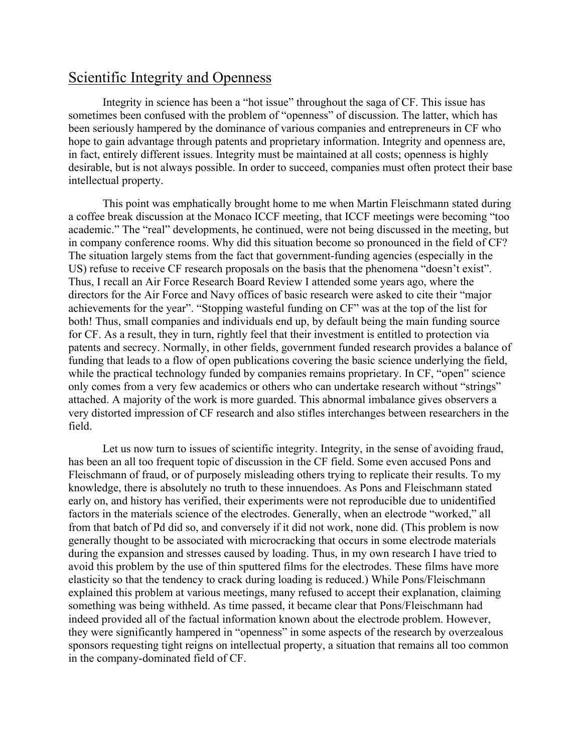## Scientific Integrity and Openness

Integrity in science has been a "hot issue" throughout the saga of CF. This issue has sometimes been confused with the problem of "openness" of discussion. The latter, which has been seriously hampered by the dominance of various companies and entrepreneurs in CF who hope to gain advantage through patents and proprietary information. Integrity and openness are, in fact, entirely different issues. Integrity must be maintained at all costs; openness is highly desirable, but is not always possible. In order to succeed, companies must often protect their base intellectual property.

This point was emphatically brought home to me when Martin Fleischmann stated during a coffee break discussion at the Monaco ICCF meeting, that ICCF meetings were becoming "too academic." The "real" developments, he continued, were not being discussed in the meeting, but in company conference rooms. Why did this situation become so pronounced in the field of CF? The situation largely stems from the fact that government-funding agencies (especially in the US) refuse to receive CF research proposals on the basis that the phenomena "doesn't exist". Thus, I recall an Air Force Research Board Review I attended some years ago, where the directors for the Air Force and Navy offices of basic research were asked to cite their "major achievements for the year". "Stopping wasteful funding on CF" was at the top of the list for both! Thus, small companies and individuals end up, by default being the main funding source for CF. As a result, they in turn, rightly feel that their investment is entitled to protection via patents and secrecy. Normally, in other fields, government funded research provides a balance of funding that leads to a flow of open publications covering the basic science underlying the field, while the practical technology funded by companies remains proprietary. In CF, "open" science only comes from a very few academics or others who can undertake research without "strings" attached. A majority of the work is more guarded. This abnormal imbalance gives observers a very distorted impression of CF research and also stifles interchanges between researchers in the field.

Let us now turn to issues of scientific integrity. Integrity, in the sense of avoiding fraud, has been an all too frequent topic of discussion in the CF field. Some even accused Pons and Fleischmann of fraud, or of purposely misleading others trying to replicate their results. To my knowledge, there is absolutely no truth to these innuendoes. As Pons and Fleischmann stated early on, and history has verified, their experiments were not reproducible due to unidentified factors in the materials science of the electrodes. Generally, when an electrode "worked," all from that batch of Pd did so, and conversely if it did not work, none did. (This problem is now generally thought to be associated with microcracking that occurs in some electrode materials during the expansion and stresses caused by loading. Thus, in my own research I have tried to avoid this problem by the use of thin sputtered films for the electrodes. These films have more elasticity so that the tendency to crack during loading is reduced.) While Pons/Fleischmann explained this problem at various meetings, many refused to accept their explanation, claiming something was being withheld. As time passed, it became clear that Pons/Fleischmann had indeed provided all of the factual information known about the electrode problem. However, they were significantly hampered in "openness" in some aspects of the research by overzealous sponsors requesting tight reigns on intellectual property, a situation that remains all too common in the company-dominated field of CF.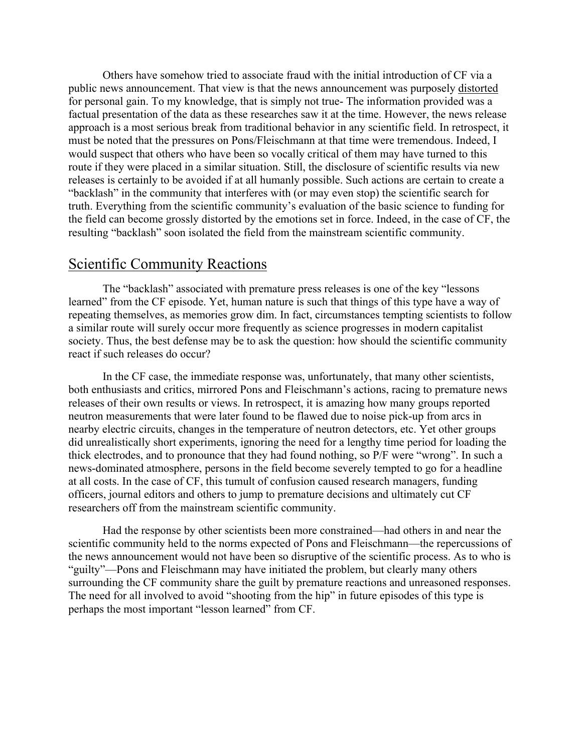Others have somehow tried to associate fraud with the initial introduction of CF via a public news announcement. That view is that the news announcement was purposely distorted for personal gain. To my knowledge, that is simply not true- The information provided was a factual presentation of the data as these researches saw it at the time. However, the news release approach is a most serious break from traditional behavior in any scientific field. In retrospect, it must be noted that the pressures on Pons/Fleischmann at that time were tremendous. Indeed, I would suspect that others who have been so vocally critical of them may have turned to this route if they were placed in a similar situation. Still, the disclosure of scientific results via new releases is certainly to be avoided if at all humanly possible. Such actions are certain to create a "backlash" in the community that interferes with (or may even stop) the scientific search for truth. Everything from the scientific community's evaluation of the basic science to funding for the field can become grossly distorted by the emotions set in force. Indeed, in the case of CF, the resulting "backlash" soon isolated the field from the mainstream scientific community.

### Scientific Community Reactions

The "backlash" associated with premature press releases is one of the key "lessons learned" from the CF episode. Yet, human nature is such that things of this type have a way of repeating themselves, as memories grow dim. In fact, circumstances tempting scientists to follow a similar route will surely occur more frequently as science progresses in modern capitalist society. Thus, the best defense may be to ask the question: how should the scientific community react if such releases do occur?

In the CF case, the immediate response was, unfortunately, that many other scientists, both enthusiasts and critics, mirrored Pons and Fleischmann's actions, racing to premature news releases of their own results or views. In retrospect, it is amazing how many groups reported neutron measurements that were later found to be flawed due to noise pick-up from arcs in nearby electric circuits, changes in the temperature of neutron detectors, etc. Yet other groups did unrealistically short experiments, ignoring the need for a lengthy time period for loading the thick electrodes, and to pronounce that they had found nothing, so P/F were "wrong". In such a news-dominated atmosphere, persons in the field become severely tempted to go for a headline at all costs. In the case of CF, this tumult of confusion caused research managers, funding officers, journal editors and others to jump to premature decisions and ultimately cut CF researchers off from the mainstream scientific community.

Had the response by other scientists been more constrained—had others in and near the scientific community held to the norms expected of Pons and Fleischmann—the repercussions of the news announcement would not have been so disruptive of the scientific process. As to who is "guilty"—Pons and Fleischmann may have initiated the problem, but clearly many others surrounding the CF community share the guilt by premature reactions and unreasoned responses. The need for all involved to avoid "shooting from the hip" in future episodes of this type is perhaps the most important "lesson learned" from CF.